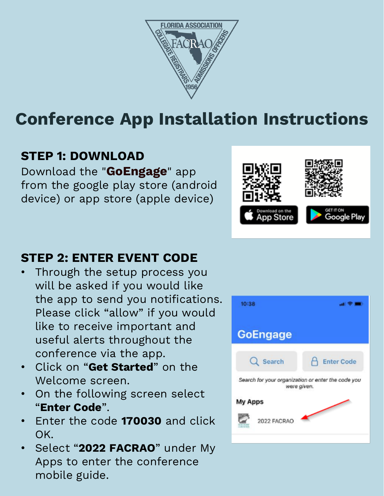

# **Conference App Installation Instructions**

# **STEP 1: DOWNLOAD**

Download the "**GoEngage**" app from the google play store (android device) or app store (apple device)

#### **STEP 2: ENTER EVENT CODE**

- Through the setup process you will be asked if you would like the app to send you notifications. Please click "allow" if you would like to receive important and useful alerts throughout the conference via the app.
- Click on "**Get Started**" on the Welcome screen.
- On the following screen select "**Enter Code**".
- Enter the code **170030** and click OK.
- Select "**2022 FACRAO**" under My Apps to enter the conference mobile guide.



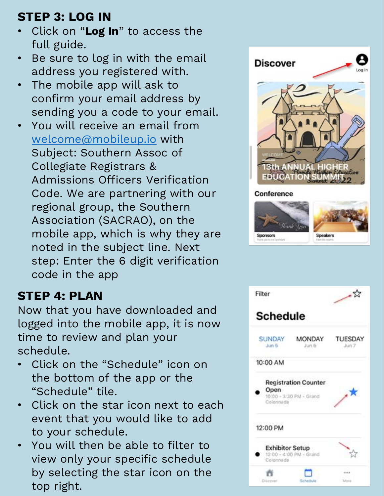# **STEP 3: LOG IN**

- Click on "**Log In**" to access the full guide.
- Be sure to log in with the email address you registered with.
- The mobile app will ask to confirm your email address by sending you a code to your email.
- You will receive an email from [welcome@mobileup.io](mailto:welcome@mobileup.io) with Subject: Southern Assoc of Collegiate Registrars & Admissions Officers Verification Code. We are partnering with our regional group, the Southern Association (SACRAO), on the mobile app, which is why they are noted in the subject line. Next step: Enter the 6 digit verification code in the app

## **STEP 4: PLAN**

Now that you have downloaded and logged into the mobile app, it is now time to review and plan your schedule.

- Click on the "Schedule" icon on the bottom of the app or the "Schedule" tile.
- Click on the star icon next to each event that you would like to add to your schedule.
- You will then be able to filter to view only your specific schedule by selecting the star icon on the top right.